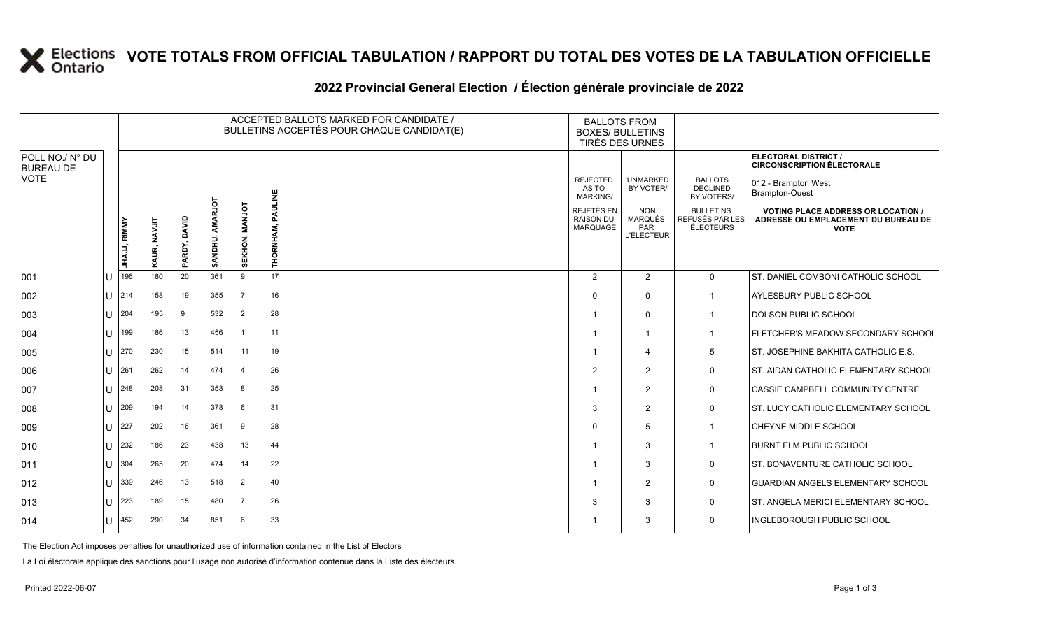### **VOTE TOTALS FROM OFFICIAL TABULATION / RAPPORT DU TOTAL DES VOTES DE LA TABULATION OFFICIELLE**

#### 2022 Provincial General Election / Election générale provinciale de 2022

|                                     |              |                                     |     |              |         |                           | ACCEPTED BALLOTS MARKED FOR CANDIDATE /<br>BULLETINS ACCEPTÉS POUR CHAQUE CANDIDAT(E) | <b>BALLOTS FROM</b><br><b>BOXES/ BULLETINS</b><br>TIRÉS DES URNES |                                                   |                                                  |                                                                                               |
|-------------------------------------|--------------|-------------------------------------|-----|--------------|---------|---------------------------|---------------------------------------------------------------------------------------|-------------------------------------------------------------------|---------------------------------------------------|--------------------------------------------------|-----------------------------------------------------------------------------------------------|
| POLL NO./ N° DU<br><b>BUREAU DE</b> |              |                                     |     |              |         |                           |                                                                                       |                                                                   |                                                   |                                                  | <b>ELECTORAL DISTRICT /</b><br><b>CIRCONSCRIPTION ÉLECTORALE</b>                              |
| <b>VOTE</b>                         |              |                                     |     |              | ö       |                           |                                                                                       | <b>REJECTED</b><br>AS TO<br><b>MARKING/</b>                       | <b>UNMARKED</b><br>BY VOTER/                      | <b>BALLOTS</b><br><b>DECLINED</b><br>BY VOTERS/  | 012 - Brampton West<br><b>Brampton-Ouest</b>                                                  |
|                                     |              | <b>JHAJJ, RIMMY</b><br>KAUR, NAVJIT |     | PARDY, DAVID | SANDHU, | $\overline{S}$<br>SEKHON, | PAULINE<br><b>THORNHAM</b>                                                            | <b>REJETÉS EN</b><br><b>RAISON DU</b><br>MARQUAGE                 | <b>NON</b><br>MARQUÉS<br>PAR<br><b>L'ÉLECTEUR</b> | <b>BULLETINS</b><br>REFUSÉS PAR LES<br>ÉLECTEURS | <b>VOTING PLACE ADDRESS OR LOCATION</b><br>ADRESSE OU EMPLACEMENT DU BUREAU DE<br><b>VOTE</b> |
| 001                                 |              | 196                                 | 180 | 20           | 361     | 9                         | 17                                                                                    | $\overline{2}$                                                    | 2                                                 | $\mathbf 0$                                      | ST. DANIEL COMBONI CATHOLIC SCHOOL                                                            |
| 002                                 | IU           | 214                                 | 158 | 19           | 355     | $\overline{7}$            | 16                                                                                    | $\Omega$                                                          | $\Omega$                                          | $\mathbf{1}$                                     | <b>AYLESBURY PUBLIC SCHOOL</b>                                                                |
| 003                                 | $\mathbf{U}$ | 204                                 | 195 | 9            | 532     | 2                         | 28                                                                                    |                                                                   | $\Omega$                                          | $\mathbf{1}$                                     | DOLSON PUBLIC SCHOOL                                                                          |
| 004                                 | ΠT           | 199                                 | 186 | 13           | 456     | -1                        | 11                                                                                    |                                                                   | -1                                                | $\mathbf{1}$                                     | FLETCHER'S MEADOW SECONDARY SCHOOL                                                            |
| 005                                 | ΙU           | 270                                 | 230 | 15           | 514     | 11                        | 19                                                                                    |                                                                   | 4                                                 | 5                                                | ST. JOSEPHINE BAKHITA CATHOLIC E.S.                                                           |
| 006                                 | $\mathbf{U}$ | 261                                 | 262 | 14           | 474     | -4                        | 26                                                                                    | $\overline{2}$                                                    | $\overline{2}$                                    | $\mathbf 0$                                      | <b>IST. AIDAN CATHOLIC ELEMENTARY SCHOOL</b>                                                  |
| 007                                 | Ш            | 248                                 | 208 | 31           | 353     | 8                         | 25                                                                                    | -1                                                                | $\overline{2}$                                    | $\mathbf 0$                                      | CASSIE CAMPBELL COMMUNITY CENTRE                                                              |
| 008                                 | $\mathbf{U}$ | 209                                 | 194 | 14           | 378     | 6                         | 31                                                                                    | 3                                                                 | $\overline{2}$                                    | $\mathbf 0$                                      | ST. LUCY CATHOLIC ELEMENTARY SCHOOL                                                           |
| 009                                 | ПT           | 227                                 | 202 | 16           | 361     | -9                        | 28                                                                                    | $\Omega$                                                          | 5                                                 | $\mathbf{1}$                                     | CHEYNE MIDDLE SCHOOL                                                                          |
| 010                                 | IU           | 232                                 | 186 | 23           | 438     | 13                        | 44                                                                                    | -1                                                                | 3                                                 | $\mathbf{1}$                                     | <b>BURNT ELM PUBLIC SCHOOL</b>                                                                |
| 011                                 | U            | 304                                 | 265 | 20           | 474     | 14                        | 22                                                                                    |                                                                   | 3                                                 | 0                                                | ST. BONAVENTURE CATHOLIC SCHOOL                                                               |
| $ 012\rangle$                       | ПT           | 339                                 | 246 | 13           | 518     | $\overline{2}$            | 40                                                                                    |                                                                   | $\overline{2}$                                    | 0                                                | GUARDIAN ANGELS ELEMENTARY SCHOOL                                                             |
| 013                                 | ЦJ           | 223                                 | 189 | 15           | 480     | -7                        | 26                                                                                    | 3                                                                 | 3                                                 | $\mathbf 0$                                      | ST. ANGELA MERICI ELEMENTARY SCHOOL                                                           |
| $ 014\rangle$                       | U            | 452                                 | 290 | 34           | 851     | -6                        | 33                                                                                    |                                                                   | 3                                                 | $\mathbf 0$                                      | INGLEBOROUGH PUBLIC SCHOOL                                                                    |

The Election Act imposes penalties for unauthorized use of information contained in the List of Electors

La Loi électorale applique des sanctions pour l'usage non autorisé d'information contenue dans la Liste des électeurs.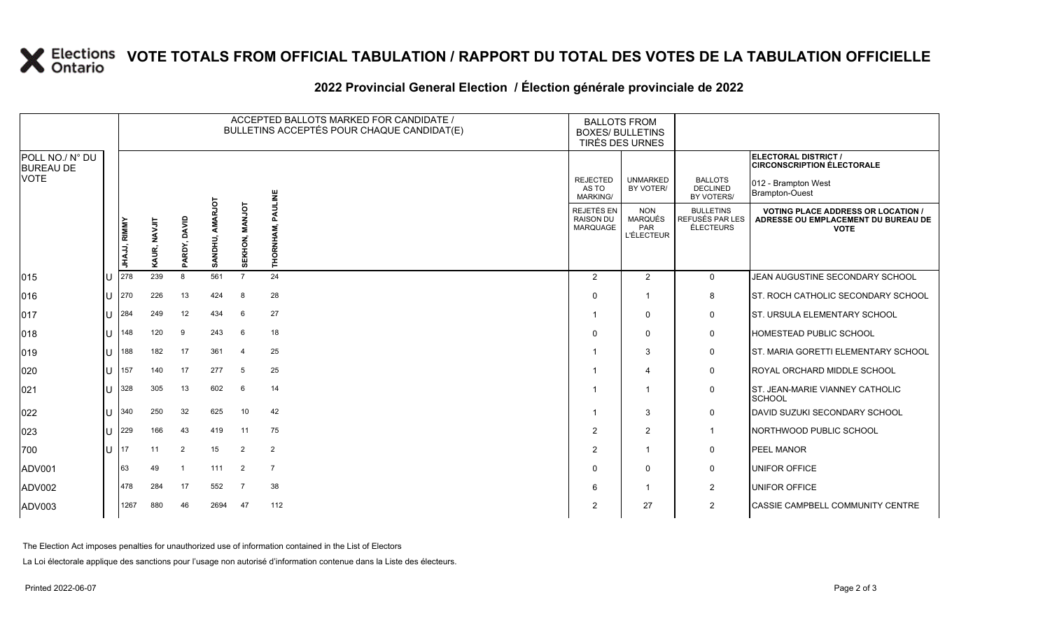# **X** Elections VOTE TOTALS FROM OFFICIAL TABULATION / RAPPORT DU TOTAL DES VOTES DE LA TABULATION OFFICIELLE

### **2022 Provincial General Election / Élection générale provinciale de 2022**

|                                     |    |                     |              |              |               |                     | ACCEPTED BALLOTS MARKED FOR CANDIDATE /<br>BULLETINS ACCEPTÉS POUR CHAQUE CANDIDAT(E) | <b>BALLOTS FROM</b><br><b>BOXES/ BULLETINS</b><br>TIRÉS DES URNES |                                                          |                                                         |                                                                                                 |
|-------------------------------------|----|---------------------|--------------|--------------|---------------|---------------------|---------------------------------------------------------------------------------------|-------------------------------------------------------------------|----------------------------------------------------------|---------------------------------------------------------|-------------------------------------------------------------------------------------------------|
| POLL NO./ N° DU<br><b>BUREAU DE</b> |    |                     |              |              |               |                     |                                                                                       |                                                                   |                                                          |                                                         | <b>ELECTORAL DISTRICT /</b><br><b>CIRCONSCRIPTION ÉLECTORALE</b>                                |
| <b>VOTE</b>                         |    |                     |              |              | ਨ             |                     |                                                                                       | <b>REJECTED</b><br>AS TO<br><b>MARKING/</b>                       | <b>UNMARKED</b><br>BY VOTER/                             | <b>BALLOTS</b><br><b>DECLINED</b><br>BY VOTERS/         | 012 - Brampton West<br>Brampton-Ouest                                                           |
|                                     |    | <b>JHAJJ, RIMMY</b> | KAUR, NAVJIT | PARDY, DAVID | <b>HIGNAS</b> | ş<br><b>SEKHON</b>  | PAULINE<br>HORNHAM                                                                    | <b>REJETÉS EN</b><br><b>RAISON DU</b><br><b>MARQUAGE</b>          | <b>NON</b><br><b>MARQUÉS</b><br>PAR<br><b>L'ÉLECTEUR</b> | <b>BULLETINS</b><br>REFUSÉS PAR LES<br><b>ÉLECTEURS</b> | <b>VOTING PLACE ADDRESS OR LOCATION /</b><br>ADRESSE OU EMPLACEMENT DU BUREAU DE<br><b>VOTE</b> |
| 015                                 | ΙU | 278                 | 239          | 8            | 561           | $\overline{7}$      | 24                                                                                    | $\overline{2}$                                                    | 2                                                        | $\mathbf 0$                                             | <b>JEAN AUGUSTINE SECONDARY SCHOOL</b>                                                          |
| 016                                 | IU | 270                 | 226          | 13           | 424           | -8                  | 28                                                                                    | $\Omega$                                                          |                                                          | 8                                                       | <b>ST. ROCH CATHOLIC SECONDARY SCHOOL</b>                                                       |
| 017                                 | IU | 284                 | 249          | 12           | 434           | 6                   | 27                                                                                    |                                                                   | $\mathbf 0$                                              | $\mathbf 0$                                             | <b>ST. URSULA ELEMENTARY SCHOOL</b>                                                             |
| 018                                 | IU | 148                 | 120          | 9            | 243           | 6                   | 18                                                                                    | $\Omega$                                                          | $\mathbf 0$                                              | $\mathbf 0$                                             | <b>HOMESTEAD PUBLIC SCHOOL</b>                                                                  |
| 019                                 | IU | 188                 | 182          | 17           | 361           | $\overline{\bf{4}}$ | 25                                                                                    |                                                                   | 3                                                        | $\mathbf 0$                                             | <b>IST. MARIA GORETTI ELEMENTARY SCHOOL</b>                                                     |
| 020                                 | ПJ | 157                 | 140          | 17           | 277           | -5                  | 25                                                                                    |                                                                   | 4                                                        | $\mathbf 0$                                             | <b>ROYAL ORCHARD MIDDLE SCHOOL</b>                                                              |
| 021                                 | IU | 328                 | 305          | 13           | 602           | 6                   | 14                                                                                    |                                                                   |                                                          | $\mathbf 0$                                             | <b>IST. JEAN-MARIE VIANNEY CATHOLIC</b><br>SCHOOL                                               |
| 022                                 | IU | 340                 | 250          | 32           | 625           | 10                  | 42                                                                                    |                                                                   | 3                                                        | $\mathbf 0$                                             | <b>DAVID SUZUKI SECONDARY SCHOOL</b>                                                            |
| 023                                 | IU | 229                 | 166          | 43           | 419           | 11                  | 75                                                                                    | $\mathcal{P}$                                                     | $\overline{2}$                                           | $\overline{1}$                                          | NORTHWOOD PUBLIC SCHOOL                                                                         |
| 700                                 | ΙU | 17                  | 11           | 2            | 15            | $\overline{2}$      | 2                                                                                     | $\overline{2}$                                                    | $\overline{1}$                                           | 0                                                       | <b>PEEL MANOR</b>                                                                               |
| ADV001                              |    | 63                  | 49           | -1           | 111           | $\overline{2}$      | $\overline{7}$                                                                        | $\Omega$                                                          | $\mathbf 0$                                              | $\mathbf 0$                                             | <b>UNIFOR OFFICE</b>                                                                            |
| ADV002                              |    | 478                 | 284          | 17           | 552           | -7                  | 38                                                                                    | 6                                                                 |                                                          | $\overline{2}$                                          | <b>UNIFOR OFFICE</b>                                                                            |
| ADV003                              |    | 1267                | 880          | 46           | 2694          | 47                  | 112                                                                                   | 2                                                                 | 27                                                       | $\overline{2}$                                          | CASSIE CAMPBELL COMMUNITY CENTRE                                                                |

The Election Act imposes penalties for unauthorized use of information contained in the List of Electors

La Loi électorale applique des sanctions pour l'usage non autorisé d'information contenue dans la Liste des électeurs.